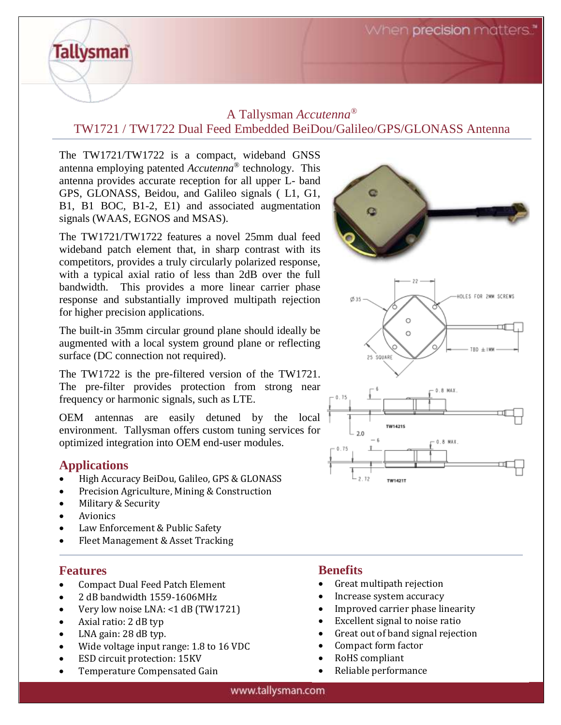When **precision** matters.

# A Tallysman *Accutenna®* TW1721 / TW1722 Dual Feed Embedded BeiDou/Galileo/GPS/GLONASS Antenna

The TW1721/TW1722 is a compact, wideband GNSS antenna employing patented *Accutenna*® technology. This antenna provides accurate reception for all upper L- band GPS, GLONASS, Beidou, and Galileo signals ( L1, G1, B1, B1 BOC, B1-2, E1) and associated augmentation signals (WAAS, EGNOS and MSAS).

The TW1721/TW1722 features a novel 25mm dual feed wideband patch element that, in sharp contrast with its competitors, provides a truly circularly polarized response, with a typical axial ratio of less than 2dB over the full bandwidth. This provides a more linear carrier phase response and substantially improved multipath rejection for higher precision applications.

The built-in 35mm circular ground plane should ideally be augmented with a local system ground plane or reflecting surface (DC connection not required).

The TW1722 is the pre-filtered version of the TW1721. The pre-filter provides protection from strong near frequency or harmonic signals, such as LTE.

OEM antennas are easily detuned by the local environment. Tallysman offers custom tuning services for optimized integration into OEM end-user modules.

## **Applications**

**Tallysman** 

- High Accuracy BeiDou, Galileo, GPS & GLONASS
- Precision Agriculture, Mining & Construction
- Military & Security
- Avionics
- Law Enforcement & Public Safety
- Fleet Management & Asset Tracking

## **Features**

- Compact Dual Feed Patch Element
- 2 dB bandwidth 1559-1606MHz
- Very low noise LNA: <1 dB (TW1721)
- Axial ratio: 2 dB typ
- LNA gain: 28 dB typ.
- Wide voltage input range: 1.8 to 16 VDC
- ESD circuit protection: 15KV
- Temperature Compensated Gain

# **Benefits**

- Great multipath rejection
- Increase system accuracy
- Improved carrier phase linearity

TW14211

- Excellent signal to noise ratio
- Great out of band signal rejection
- Compact form factor
- RoHS compliant
- Reliable performance